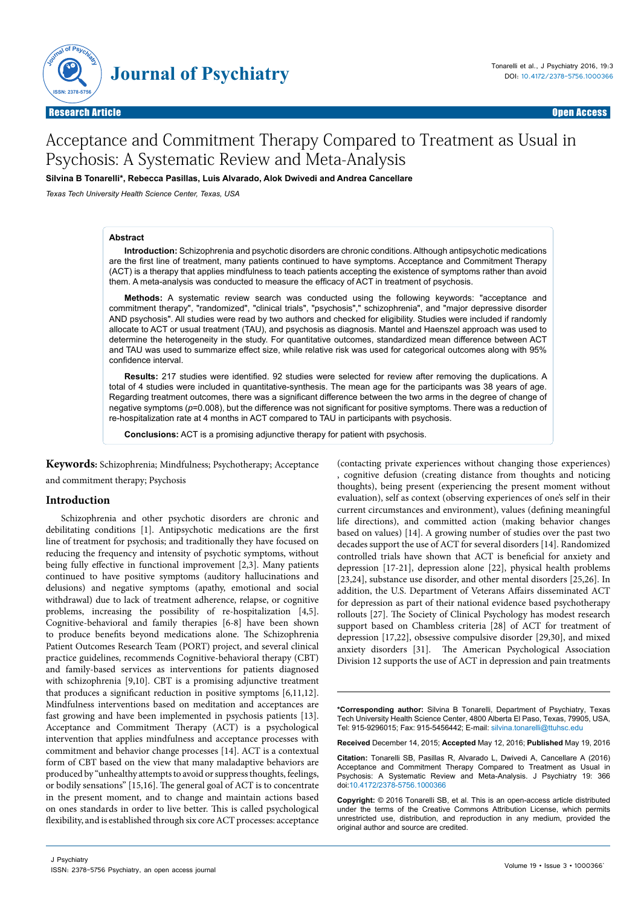

Open Access

# Acceptance and Commitment Therapy Compared to Treatment as Usual in Psychosis: A Systematic Review and Meta-Analysis

**Silvina B Tonarelli\*, Rebecca Pasillas, Luis Alvarado, Alok Dwivedi and Andrea Cancellare**

*Texas Tech University Health Science Center, Texas, USA* 

#### **Abstract**

**Introduction:** Schizophrenia and psychotic disorders are chronic conditions. Although antipsychotic medications are the first line of treatment, many patients continued to have symptoms. Acceptance and Commitment Therapy (ACT) is a therapy that applies mindfulness to teach patients accepting the existence of symptoms rather than avoid them. A meta-analysis was conducted to measure the efficacy of ACT in treatment of psychosis.

**Methods:** A systematic review search was conducted using the following keywords: "acceptance and commitment therapy", "randomized", "clinical trials", "psychosis"," schizophrenia", and "major depressive disorder AND psychosis". All studies were read by two authors and checked for eligibility. Studies were included if randomly allocate to ACT or usual treatment (TAU), and psychosis as diagnosis. Mantel and Haenszel approach was used to determine the heterogeneity in the study. For quantitative outcomes, standardized mean difference between ACT and TAU was used to summarize effect size, while relative risk was used for categorical outcomes along with 95% confidence interval.

**Results:** 217 studies were identified. 92 studies were selected for review after removing the duplications. A total of 4 studies were included in quantitative-synthesis. The mean age for the participants was 38 years of age. Regarding treatment outcomes, there was a significant difference between the two arms in the degree of change of negative symptoms (*p*=0.008), but the difference was not significant for positive symptoms. There was a reduction of re-hospitalization rate at 4 months in ACT compared to TAU in participants with psychosis.

**Conclusions:** ACT is a promising adjunctive therapy for patient with psychosis.

**Keywords:** Schizophrenia; Mindfulness; Psychotherapy; Acceptance and commitment therapy; Psychosis

#### **Introduction**

Schizophrenia and other psychotic disorders are chronic and debilitating conditions [1]. Antipsychotic medications are the first line of treatment for psychosis; and traditionally they have focused on reducing the frequency and intensity of psychotic symptoms, without being fully effective in functional improvement [2,3]. Many patients continued to have positive symptoms (auditory hallucinations and delusions) and negative symptoms (apathy, emotional and social withdrawal) due to lack of treatment adherence, relapse, or cognitive problems, increasing the possibility of re-hospitalization [4,5]. Cognitive-behavioral and family therapies [6-8] have been shown to produce benefits beyond medications alone. The Schizophrenia Patient Outcomes Research Team (PORT) project, and several clinical practice guidelines, recommends Cognitive-behavioral therapy (CBT) and family-based services as interventions for patients diagnosed with schizophrenia [9,10]. CBT is a promising adjunctive treatment that produces a significant reduction in positive symptoms [6,11,12]. Mindfulness interventions based on meditation and acceptances are fast growing and have been implemented in psychosis patients [13]. Acceptance and Commitment Therapy (ACT) is a psychological intervention that applies mindfulness and acceptance processes with commitment and behavior change processes [14]. ACT is a contextual form of CBT based on the view that many maladaptive behaviors are produced by "unhealthy attempts to avoid or suppress thoughts, feelings, or bodily sensations" [15,16]. The general goal of ACT is to concentrate in the present moment, and to change and maintain actions based on ones standards in order to live better. This is called psychological flexibility, and is established through six core ACT processes: acceptance

(contacting private experiences without changing those experiences) , cognitive defusion (creating distance from thoughts and noticing thoughts), being present (experiencing the present moment without evaluation), self as context (observing experiences of one's self in their current circumstances and environment), values (defining meaningful life directions), and committed action (making behavior changes based on values) [14]. A growing number of studies over the past two decades support the use of ACT for several disorders [14]. Randomized controlled trials have shown that ACT is beneficial for anxiety and depression [17-21], depression alone [22], physical health problems [23,24], substance use disorder, and other mental disorders [25,26]. In addition, the U.S. Department of Veterans Affairs disseminated ACT for depression as part of their national evidence based psychotherapy rollouts [27]. The Society of Clinical Psychology has modest research support based on Chambless criteria [28] of ACT for treatment of depression [17,22], obsessive compulsive disorder [29,30], and mixed anxiety disorders [31]. The American Psychological Association Division 12 supports the use of ACT in depression and pain treatments

**\*Corresponding author:** Silvina B Tonarelli, Department of Psychiatry, Texas Tech University Health Science Center, 4800 Alberta El Paso, Texas, 79905, USA, Tel: 915-9296015; Fax: 915-5456442; E-mail: silvina.tonarelli@ttuhsc.edu

**Received** December 14, 2015; **Accepted** May 12, 2016; **Published** May 19, 2016

**Citation:** Tonarelli SB, Pasillas R, Alvarado L, Dwivedi A, Cancellare A (2016) Acceptance and Commitment Therapy Compared to Treatment as Usual in Psychosis: A Systematic Review and Meta-Analysis. J Psychiatry 19: 366 doi:10.4172/2378-5756.1000366

**Copyright:** © 2016 Tonarelli SB, et al. This is an open-access article distributed under the terms of the Creative Commons Attribution License, which permits unrestricted use, distribution, and reproduction in any medium, provided the original author and source are credited.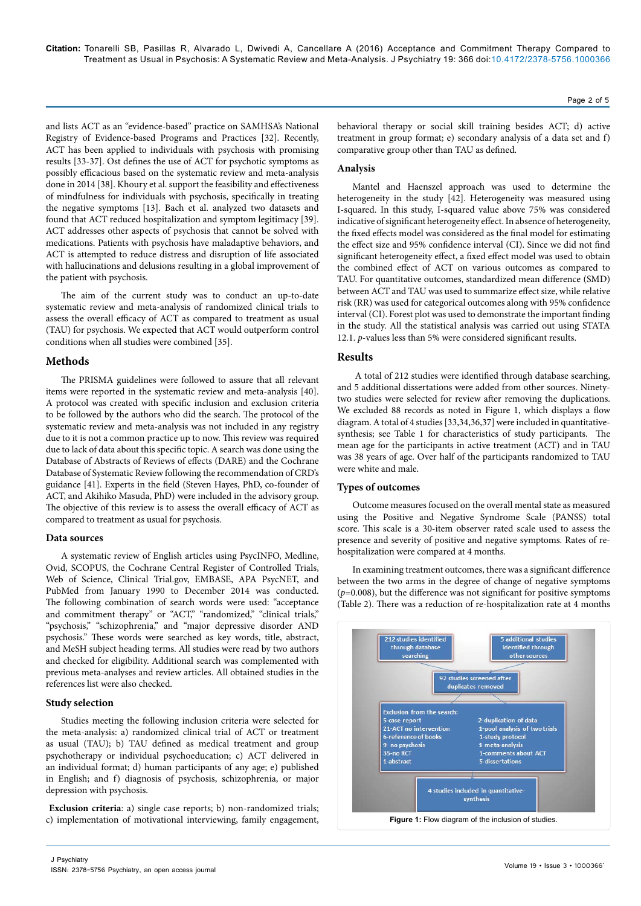and lists ACT as an "evidence-based" practice on SAMHSA's National Registry of Evidence-based Programs and Practices [32]. Recently, ACT has been applied to individuals with psychosis with promising results [33-37]. Ost defines the use of ACT for psychotic symptoms as possibly efficacious based on the systematic review and meta-analysis done in 2014 [38]. Khoury et al. support the feasibility and effectiveness of mindfulness for individuals with psychosis, specifically in treating the negative symptoms [13]. Bach et al. analyzed two datasets and found that ACT reduced hospitalization and symptom legitimacy [39]. ACT addresses other aspects of psychosis that cannot be solved with medications. Patients with psychosis have maladaptive behaviors, and ACT is attempted to reduce distress and disruption of life associated with hallucinations and delusions resulting in a global improvement of the patient with psychosis.

The aim of the current study was to conduct an up-to-date systematic review and meta-analysis of randomized clinical trials to assess the overall efficacy of ACT as compared to treatment as usual (TAU) for psychosis. We expected that ACT would outperform control conditions when all studies were combined [35].

#### **Methods**

The PRISMA guidelines were followed to assure that all relevant items were reported in the systematic review and meta-analysis [40]. A protocol was created with specific inclusion and exclusion criteria to be followed by the authors who did the search. The protocol of the systematic review and meta-analysis was not included in any registry due to it is not a common practice up to now. This review was required due to lack of data about this specific topic. A search was done using the Database of Abstracts of Reviews of effects (DARE) and the Cochrane Database of Systematic Review following the recommendation of CRD's guidance [41]. Experts in the field (Steven Hayes, PhD, co-founder of ACT, and Akihiko Masuda, PhD) were included in the advisory group. The objective of this review is to assess the overall efficacy of ACT as compared to treatment as usual for psychosis.

#### **Data sources**

A systematic review of English articles using PsycINFO, Medline, Ovid, SCOPUS, the Cochrane Central Register of Controlled Trials, Web of Science, Clinical Trial.gov, EMBASE, APA PsycNET, and PubMed from January 1990 to December 2014 was conducted. The following combination of search words were used: "acceptance and commitment therapy" or "ACT," "randomized," "clinical trials," "psychosis," "schizophrenia," and "major depressive disorder AND psychosis." These words were searched as key words, title, abstract, and MeSH subject heading terms. All studies were read by two authors and checked for eligibility. Additional search was complemented with previous meta-analyses and review articles. All obtained studies in the references list were also checked.

#### **Study selection**

Studies meeting the following inclusion criteria were selected for the meta-analysis: a) randomized clinical trial of ACT or treatment as usual (TAU); b) TAU defined as medical treatment and group psychotherapy or individual psychoeducation; c) ACT delivered in an individual format; d) human participants of any age; e) published in English; and f) diagnosis of psychosis, schizophrenia, or major depression with psychosis.

 **Exclusion criteria**: a) single case reports; b) non-randomized trials; c) implementation of motivational interviewing, family engagement, Page 2 of 5

behavioral therapy or social skill training besides ACT; d) active treatment in group format; e) secondary analysis of a data set and f) comparative group other than TAU as defined.

#### **Analysis**

Mantel and Haenszel approach was used to determine the heterogeneity in the study [42]. Heterogeneity was measured using I-squared. In this study, I-squared value above 75% was considered indicative of significant heterogeneity effect. In absence of heterogeneity, the fixed effects model was considered as the final model for estimating the effect size and 95% confidence interval (CI). Since we did not find significant heterogeneity effect, a fixed effect model was used to obtain the combined effect of ACT on various outcomes as compared to TAU. For quantitative outcomes, standardized mean difference (SMD) between ACT and TAU was used to summarize effect size, while relative risk (RR) was used for categorical outcomes along with 95% confidence interval (CI). Forest plot was used to demonstrate the important finding in the study. All the statistical analysis was carried out using STATA 12.1. *p*-values less than 5% were considered significant results.

## **Results**

 A total of 212 studies were identified through database searching, and 5 additional dissertations were added from other sources. Ninetytwo studies were selected for review after removing the duplications. We excluded 88 records as noted in Figure 1, which displays a flow diagram. A total of 4 studies [33,34,36,37] were included in quantitativesynthesis; see Table 1 for characteristics of study participants. The mean age for the participants in active treatment (ACT) and in TAU was 38 years of age. Over half of the participants randomized to TAU were white and male.

## **Types of outcomes**

Outcome measures focused on the overall mental state as measured using the Positive and Negative Syndrome Scale (PANSS) total score. This scale is a 30-item observer rated scale used to assess the presence and severity of positive and negative symptoms. Rates of rehospitalization were compared at 4 months.

In examining treatment outcomes, there was a significant difference between the two arms in the degree of change of negative symptoms  $(p=0.008)$ , but the difference was not significant for positive symptoms (Table 2). There was a reduction of re-hospitalization rate at 4 months

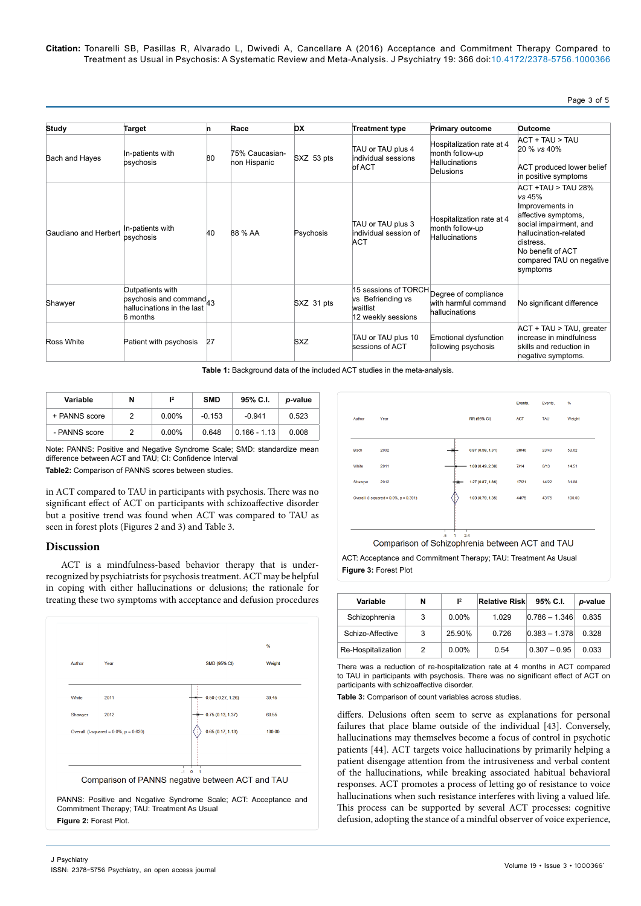Page 3 of 5

| Study                | <b>Target</b>                                                                                     | n  | Race                           | <b>DX</b>  | <b>Treatment type</b>                               | <b>Primary outcome</b>                                                              | Outcome                                                                                                                                                                                                |
|----------------------|---------------------------------------------------------------------------------------------------|----|--------------------------------|------------|-----------------------------------------------------|-------------------------------------------------------------------------------------|--------------------------------------------------------------------------------------------------------------------------------------------------------------------------------------------------------|
| Bach and Hayes       | In-patients with<br>psychosis                                                                     | 80 | 75% Caucasian-<br>non Hispanic | SXZ 53 pts | TAU or TAU plus 4<br>individual sessions<br>of ACT  | Hospitalization rate at 4<br>month follow-up<br><b>Hallucinations</b><br>Delusions  | ACT + TAU > TAU<br>20 % vs 40%<br>ACT produced lower belief<br>in positive symptoms                                                                                                                    |
| Gaudiano and Herbert | In-patients with<br>psychosis                                                                     | 40 | 88 % AA                        | Psychosis  | TAU or TAU plus 3<br>individual session of<br>ACT   | Hospitalization rate at 4<br>month follow-up<br><b>Hallucinations</b>               | $ACT + TAU > TAU 28%$<br>vs 45%<br>Improvements in<br>affective symptoms,<br>social impairment, and<br>hallucination-related<br>distress.<br>No benefit of ACT<br>compared TAU on negative<br>symptoms |
| Shawyer              | Outpatients with<br>psychosis and command <sub>43</sub><br>hallucinations in the last<br>6 months |    |                                | SXZ 31 pts | vs Befriending vs<br>waitlist<br>12 weekly sessions | 15 sessions of TORCH Degree of compliance<br>with harmful command<br>hallucinations | No significant difference                                                                                                                                                                              |
| Ross White           | Patient with psychosis                                                                            | 27 |                                | <b>SXZ</b> | TAU or TAU plus 10<br>sessions of ACT               | Emotional dysfunction<br>following psychosis                                        | ACT + TAU > TAU, greater<br>increase in mindfulness<br>skills and reduction in<br>negative symptoms.                                                                                                   |

**Table 1:** Background data of the included ACT studies in the meta-analysis.

| Variable      | N | $1^2$    | <b>SMD</b> | 95% C.I.       | p-value |
|---------------|---|----------|------------|----------------|---------|
| + PANNS score |   | $0.00\%$ | $-0.153$   | $-0.941$       | 0.523   |
| - PANNS score |   | $0.00\%$ | 0.648      | $0.166 - 1.13$ | 0.008   |

Note: PANNS: Positive and Negative Syndrome Scale; SMD: standardize mean difference between ACT and TAU; CI: Confidence Interval

**Table2:** Comparison of PANNS scores between studies.

in ACT compared to TAU in participants with psychosis. There was no significant effect of ACT on participants with schizoaffective disorder but a positive trend was found when ACT was compared to TAU as seen in forest plots (Figures 2 and 3) and Table 3.

#### **Discussion**

ACT is a mindfulness-based behavior therapy that is underrecognized by psychiatrists for psychosis treatment. ACT may be helpful in coping with either hallucinations or delusions; the rationale for treating these two symptoms with acceptance and defusion procedures



**Figure 2:** Forest Plot.



**Figure 3:** Forest Plot

| Variable           | N | 1 <sup>2</sup> | <b>Relative Risk</b> | 95% C.I.        | p-value |
|--------------------|---|----------------|----------------------|-----------------|---------|
| Schizophrenia      | 3 | $0.00\%$       | 1.029                | $0.786 - 1.346$ | 0.835   |
| Schizo-Affective   | 3 | 25.90%         | 0.726                | $0.383 - 1.378$ | 0.328   |
| Re-Hospitalization | 2 | $0.00\%$       | 0.54                 | $0.307 - 0.95$  | 0.033   |

There was a reduction of re-hospitalization rate at 4 months in ACT compared to TAU in participants with psychosis. There was no significant effect of ACT on participants with schizoaffective disorder.

**Table 3:** Comparison of count variables across studies.

differs. Delusions often seem to serve as explanations for personal failures that place blame outside of the individual [43]. Conversely, hallucinations may themselves become a focus of control in psychotic patients [44]. ACT targets voice hallucinations by primarily helping a patient disengage attention from the intrusiveness and verbal content of the hallucinations, while breaking associated habitual behavioral responses. ACT promotes a process of letting go of resistance to voice hallucinations when such resistance interferes with living a valued life. This process can be supported by several ACT processes: cognitive defusion, adopting the stance of a mindful observer of voice experience,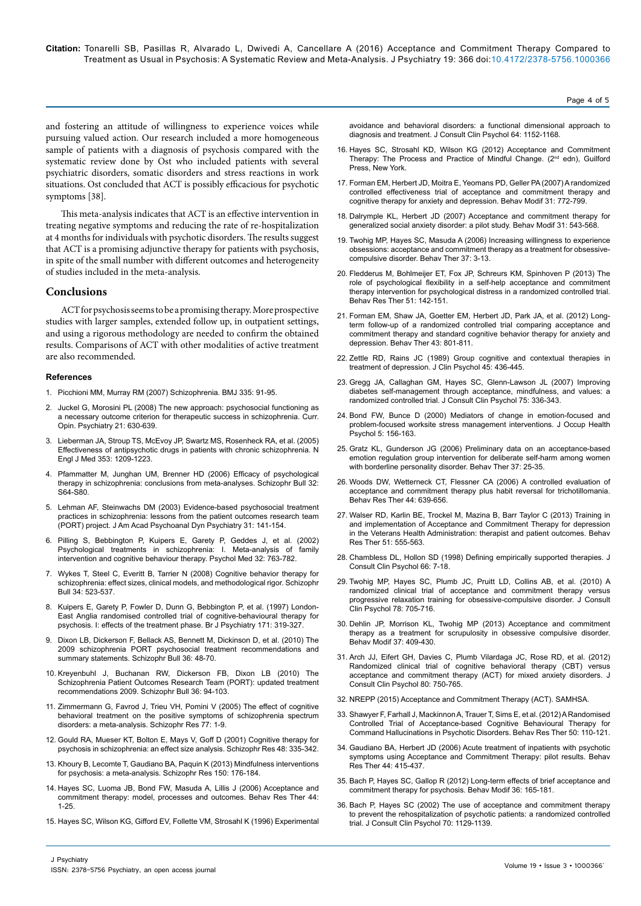[avoidance and behavioral disorders: a functional dimensional approach to](http://www.ncbi.nlm.nih.gov/pubmed/8991302) 

16. Hayes SC, Strosahl KD, Wilson KG [\(2012\) Acceptance and Commitment](https://books.google.co.in/books/about/Acceptance_and_Commitment_Therapy.html?id=5_xAm0VF4X8C&source=kp_cover&redir_esc=y)  Therapy: The Process and Practice of Mindful Change. (2<sup>nd</sup> edn), Guilford [Press, New York.](https://books.google.co.in/books/about/Acceptance_and_Commitment_Therapy.html?id=5_xAm0VF4X8C&source=kp_cover&redir_esc=y)

[diagnosis and treatment. J Consult Clin Psychol 64: 1152-1168.](http://www.ncbi.nlm.nih.gov/pubmed/8991302)

- 17. [Forman EM, Herbert JD, Moitra E, Yeomans PD, Geller PA \(2007\) A randomized](http://www.ncbi.nlm.nih.gov/pubmed/17932235)  [controlled effectiveness trial of acceptance and commitment therapy and](http://www.ncbi.nlm.nih.gov/pubmed/17932235)  [cognitive therapy for anxiety and depression. Behav Modif 31: 772-799.](http://www.ncbi.nlm.nih.gov/pubmed/17932235)
- 18. [Dalrymple KL, Herbert JD \(2007\) Acceptance and commitment therapy for](http://www.ncbi.nlm.nih.gov/pubmed/17699117)  [generalized social anxiety disorder: a pilot study. Behav Modif](http://www.ncbi.nlm.nih.gov/pubmed/17699117) 31: 543-568.
- 19. [Twohig MP, Hayes SC, Masuda A \(2006\) Increasing willingness to experience](http://www.ncbi.nlm.nih.gov/pubmed/16942956)  [obsessions: acceptance and commitment therapy as a treatment for obsessive](http://www.ncbi.nlm.nih.gov/pubmed/16942956)[compulsive disorder. Behav Ther 37: 3-13.](http://www.ncbi.nlm.nih.gov/pubmed/16942956)
- 20. Fledderus M, Bohlmeijer ET, Fox JP, Schreurs KM, Spinhoven P (2013) The role of psychological flexibility in a self-help acceptance and commitment therapy intervention for psychological distress in a randomized controlled trial. Behav Res Ther 51: 142-151.
- 21. [Forman EM, Shaw JA, Goetter EM, Herbert JD, Park JA, et al. \(2012\) Long](http://www.sciencedirect.com/science/article/pii/S0005789412000597)[term follow-up of a randomized controlled trial comparing acceptance and](http://www.sciencedirect.com/science/article/pii/S0005789412000597)  [commitment therapy and standard cognitive behavior therapy for anxiety and](http://www.sciencedirect.com/science/article/pii/S0005789412000597)  [depression. Behav Ther 43: 801-811.](http://www.sciencedirect.com/science/article/pii/S0005789412000597)
- 22. [Zettle RD, Rains JC \(1989\) Group cognitive and contextual therapies in](http://www.ncbi.nlm.nih.gov/pubmed/2745733)  [treatment of depression. J Clin Psychol 45: 436-445.](http://www.ncbi.nlm.nih.gov/pubmed/2745733)
- 23. [Gregg JA, Callaghan GM, Hayes SC, Glenn-Lawson JL \(2007\) Improving](http://www.ncbi.nlm.nih.gov/pubmed/17469891)  [diabetes self-management through acceptance, mindfulness, and values: a](http://www.ncbi.nlm.nih.gov/pubmed/17469891)  [randomized controlled trial. J Consult Clin Psychol 75: 336-343.](http://www.ncbi.nlm.nih.gov/pubmed/17469891)
- 24. [Bond FW, Bunce D \(2000\) Mediators of change in emotion-focused and](http://www.ncbi.nlm.nih.gov/pubmed/10658893)  [problem-focused worksite stress management interventions. J Occup Health](http://www.ncbi.nlm.nih.gov/pubmed/10658893)  [Psychol 5: 156-163.](http://www.ncbi.nlm.nih.gov/pubmed/10658893)
- 25. [Gratz KL, Gunderson JG \(2006\) Preliminary data on an acceptance-based](http://www.ncbi.nlm.nih.gov/pubmed/16942958)  [emotion regulation group intervention for deliberate self-harm among women](http://www.ncbi.nlm.nih.gov/pubmed/16942958)  [with borderline personality disorder. Behav Ther](http://www.ncbi.nlm.nih.gov/pubmed/16942958) 37: 25-35.
- 26. [Woods DW, Wetterneck CT, Flessner CA \(2006\) A controlled evaluation of](http://www.ncbi.nlm.nih.gov/pubmed/16039603)  [acceptance and commitment therapy plus habit reversal for trichotillomania.](http://www.ncbi.nlm.nih.gov/pubmed/16039603)  [Behav Res Ther](http://www.ncbi.nlm.nih.gov/pubmed/16039603) 44: 639-656.
- 27. [Walser RD, Karlin BE, Trockel M, Mazina B, Barr Taylor C \(2013\) Training in](http://www.ncbi.nlm.nih.gov/pubmed/23851161)  [and implementation of Acceptance and Commitment Therapy for depression](http://www.ncbi.nlm.nih.gov/pubmed/23851161)  [in the Veterans Health Administration: therapist and patient outcomes. Behav](http://www.ncbi.nlm.nih.gov/pubmed/23851161)  [Res Ther 51: 555-563.](http://www.ncbi.nlm.nih.gov/pubmed/23851161)
- 28. [Chambless DL, Hollon SD \(1998\) Defining empirically supported therapies. J](http://www.ncbi.nlm.nih.gov/pubmed/9489259)  [Consult Clin Psychol 66: 7-18.](http://www.ncbi.nlm.nih.gov/pubmed/9489259)
- 29. [Twohig MP, Hayes SC, Plumb JC, Pruitt LD, Collins AB, et al. \(2010\) A](http://www.ncbi.nlm.nih.gov/pubmed/20873905)  [randomized clinical trial of acceptance and commitment therapy versus](http://www.ncbi.nlm.nih.gov/pubmed/20873905)  [progressive relaxation training for obsessive-compulsive disorder. J Consult](http://www.ncbi.nlm.nih.gov/pubmed/20873905)  [Clin Psychol 78: 705-716.](http://www.ncbi.nlm.nih.gov/pubmed/20873905)
- 30. [Dehlin JP, Morrison KL, Twohig MP \(2013\) Acceptance and commitment](http://www.ncbi.nlm.nih.gov/pubmed/23405017)  [therapy as a treatment for scrupulosity in obsessive compulsive disorder.](http://www.ncbi.nlm.nih.gov/pubmed/23405017)  [Behav Modif 37: 409-430.](http://www.ncbi.nlm.nih.gov/pubmed/23405017)
- 31. [Arch JJ, Eifert GH, Davies C, Plumb Vilardaga JC, Rose RD, et al. \(2012\)](http://www.ncbi.nlm.nih.gov/pubmed/22563639)  [Randomized clinical trial of cognitive behavioral therapy \(CBT\) versus](http://www.ncbi.nlm.nih.gov/pubmed/22563639)  [acceptance and commitment therapy \(ACT\) for mixed anxiety disorders. J](http://www.ncbi.nlm.nih.gov/pubmed/22563639)  [Consult Clin Psychol 80: 750-765.](http://www.ncbi.nlm.nih.gov/pubmed/22563639)
- 32. [NREPP \(2015\) Acceptance and Commitment Therapy \(ACT\). SAMHSA.](http://legacy.nreppadmin.net/ViewIntervention.aspx?id=191)
- 33. [Shawyer F, Farhall J, Mackinnon A, Trauer T, Sims E, et al. \(2012\) A Randomised](http://www.ncbi.nlm.nih.gov/pubmed/22186135)  [Controlled Trial of Acceptance-based Cognitive Behavioural Therapy for](http://www.ncbi.nlm.nih.gov/pubmed/22186135)  [Command Hallucinations in Psychotic Disorders. Behav Res Ther 50: 110-121.](http://www.ncbi.nlm.nih.gov/pubmed/22186135)
- 34. [Gaudiano BA, Herbert JD \(2006\) Acute treatment of inpatients with psychotic](http://www.ncbi.nlm.nih.gov/pubmed/15893293)  [symptoms using Acceptance and Commitment Therapy: pilot results. Behav](http://www.ncbi.nlm.nih.gov/pubmed/15893293)  [Res Ther 44: 415-437.](http://www.ncbi.nlm.nih.gov/pubmed/15893293)
- 35. [Bach P, Hayes SC, Gallop R \(2012\) Long-term effects of brief acceptance and](http://www.ncbi.nlm.nih.gov/pubmed/22116935)  [commitment therapy for psychosis. Behav Modif 36: 165-181.](http://www.ncbi.nlm.nih.gov/pubmed/22116935)
- 36. [Bach P, Hayes SC \(2002\) The use of acceptance and commitment therapy](http://www.ncbi.nlm.nih.gov/pubmed/12362963)  [to prevent the rehospitalization of psychotic patients: a randomized controlled](http://www.ncbi.nlm.nih.gov/pubmed/12362963)  [trial. J Consult Clin Psychol](http://www.ncbi.nlm.nih.gov/pubmed/12362963) 70: 1129-1139.

and fostering an attitude of willingness to experience voices while pursuing valued action. Our research included a more homogeneous sample of patients with a diagnosis of psychosis compared with the systematic review done by Ost who included patients with several psychiatric disorders, somatic disorders and stress reactions in work situations. Ost concluded that ACT is possibly efficacious for psychotic symptoms [38].

This meta-analysis indicates that ACT is an effective intervention in treating negative symptoms and reducing the rate of re-hospitalization at 4 months for individuals with psychotic disorders. The results suggest that ACT is a promising adjunctive therapy for patients with psychosis, in spite of the small number with different outcomes and heterogeneity of studies included in the meta-analysis.

#### **Conclusions**

ACT for psychosis seems to be a promising therapy. More prospective studies with larger samples, extended follow up, in outpatient settings, and using a rigorous methodology are needed to confirm the obtained results. Comparisons of ACT with other modalities of active treatment are also recommended.

#### **References**

- 1. [Picchioni MM, Murray RM \(2007\) Schizophrenia. BMJ 335: 91-95.](http://www.ncbi.nlm.nih.gov/pubmed/17626963)
- 2. [Juckel G, Morosini PL \(2008\) The new approach: psychosocial functioning as](http://www.ncbi.nlm.nih.gov/pubmed/18852573) [a necessary outcome criterion for therapeutic success in schizophrenia. Curr.](http://www.ncbi.nlm.nih.gov/pubmed/18852573) [Opin. Psychiatry 21: 630-639.](http://www.ncbi.nlm.nih.gov/pubmed/18852573)
- 3. [Lieberman JA, Stroup TS, McEvoy JP, Swartz MS, Rosenheck RA, et al. \(2005\)](http://www.ncbi.nlm.nih.gov/pubmed/16172203) [Effectiveness of antipsychotic drugs in patients with chronic schizophrenia. N](http://www.ncbi.nlm.nih.gov/pubmed/16172203) [Engl J Med 353: 1209-1223.](http://www.ncbi.nlm.nih.gov/pubmed/16172203)
- 4. [Pfammatter M, Junghan UM, Brenner HD \(2006\) Efficacy of psychological](http://schizophreniabulletin.oxfordjournals.org/content/32/suppl_1/S64.abstract) [therapy in schizophrenia: conclusions from meta-analyses. Schizophr Bull 32:](http://schizophreniabulletin.oxfordjournals.org/content/32/suppl_1/S64.abstract) [S64-S80.](http://schizophreniabulletin.oxfordjournals.org/content/32/suppl_1/S64.abstract)
- 5. [Lehman AF, Steinwachs DM \(2003\) Evidence-based psychosocial treatment](http://www.ncbi.nlm.nih.gov/pubmed/12722892) [practices in schizophrenia: lessons from the patient outcomes research team](http://www.ncbi.nlm.nih.gov/pubmed/12722892) [\(PORT\) project. J Am Acad Psychoanal Dyn Psychiatry](http://www.ncbi.nlm.nih.gov/pubmed/12722892) 31: 141-154.
- 6. [Pilling S, Bebbington P, Kuipers E, Garety P, Geddes J, et al. \(2002\)](http://www.ncbi.nlm.nih.gov/pubmed/12171372) [Psychological treatments in schizophrenia: I. Meta-analysis of family](http://www.ncbi.nlm.nih.gov/pubmed/12171372) [intervention and cognitive behaviour therapy. Psychol Med 32: 763-782.](http://www.ncbi.nlm.nih.gov/pubmed/12171372)
- 7. [Wykes T, Steel C, Everitt B, Tarrier N \(2008\) Cognitive behavior therapy for](http://www.ncbi.nlm.nih.gov/pubmed/17962231) [schizophrenia: effect sizes, clinical models, and methodological rigor. Schizophr](http://www.ncbi.nlm.nih.gov/pubmed/17962231) Bull [34: 523-537.](http://www.ncbi.nlm.nih.gov/pubmed/17962231)
- 8. [Kuipers E, Garety P, Fowler D, Dunn G, Bebbington P, et al. \(1997\) London-](http://www.ncbi.nlm.nih.gov/pubmed/9373419)[East Anglia randomised controlled trial of cognitive-behavioural therapy for](http://www.ncbi.nlm.nih.gov/pubmed/9373419) [psychosis. I: effects of the treatment phase. Br J Psychiatry 171: 319-327.](http://www.ncbi.nlm.nih.gov/pubmed/9373419)
- 9. [Dixon LB, Dickerson F, Bellack AS, Bennett M, Dickinson D, et al. \(2010\) The](http://www.ncbi.nlm.nih.gov/pubmed/19955389) [2009 schizophrenia PORT psychosocial treatment recommendations and](http://www.ncbi.nlm.nih.gov/pubmed/19955389) [summary statements. Schizophr Bull](http://www.ncbi.nlm.nih.gov/pubmed/19955389) 36: 48-70.
- 10. [Kreyenbuhl J, Buchanan RW, Dickerson FB, Dixon LB \(2010\) The](http://schizophreniabulletin.oxfordjournals.org/content/36/1/94.abstract) [Schizophrenia Patient Outcomes Research Team \(PORT\): updated treatment](http://schizophreniabulletin.oxfordjournals.org/content/36/1/94.abstract) [recommendations 2009. Schizophr Bull 36: 94-103.](http://schizophreniabulletin.oxfordjournals.org/content/36/1/94.abstract)
- 11. [Zimmermann G, Favrod J, Trieu VH, Pomini V \(2005\) The effect of cognitive](http://www.ncbi.nlm.nih.gov/pubmed/16005380) [behavioral treatment on the positive symptoms of schizophrenia spectrum](http://www.ncbi.nlm.nih.gov/pubmed/16005380) [disorders: a meta-analysis. Schizophr Res 77: 1-9.](http://www.ncbi.nlm.nih.gov/pubmed/16005380)
- 12. [Gould RA, Mueser KT, Bolton E, Mays V, Goff D \(2001\) Cognitive therapy for](http://www.ncbi.nlm.nih.gov/pubmed/11295385) [psychosis in schizophrenia: an effect size analysis. Schizophr Res 48: 335-342.](http://www.ncbi.nlm.nih.gov/pubmed/11295385)
- 13. [Khoury B, Lecomte T, Gaudiano BA, Paquin K \(2013\) Mindfulness interventions](http://www.ncbi.nlm.nih.gov/pubmed/23954146) [for psychosis: a meta-analysis. Schizophr Res 150: 176-184.](http://www.ncbi.nlm.nih.gov/pubmed/23954146)
- 14. [Hayes SC, Luoma JB, Bond FW, Masuda A, Lillis J \(2006\) Acceptance and](http://www.ncbi.nlm.nih.gov/pubmed/16300724) [commitment therapy: model, processes and outcomes. Behav Res Ther 44:](http://www.ncbi.nlm.nih.gov/pubmed/16300724) [1-25.](http://www.ncbi.nlm.nih.gov/pubmed/16300724)
- 15. [Hayes SC, Wilson KG, Gifford EV, Follette VM, Strosahl K \(1996\) Experimental](http://www.ncbi.nlm.nih.gov/pubmed/8991302)

Page 4 of 5